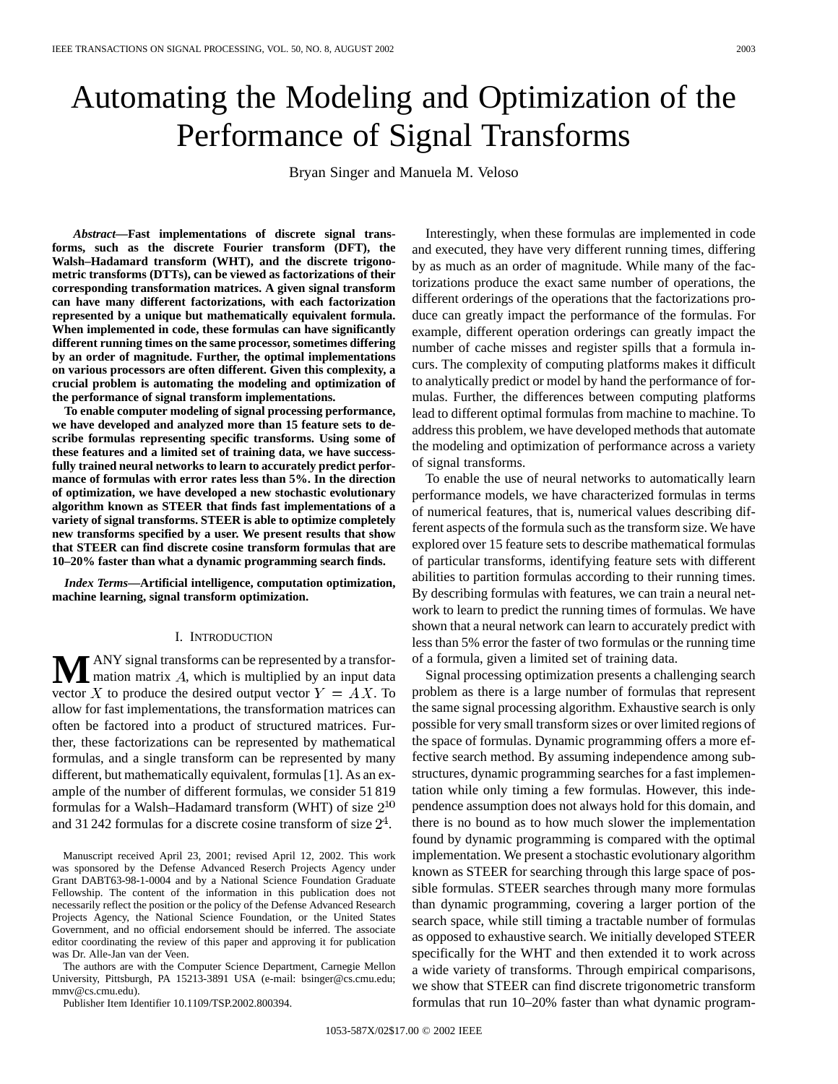# Automating the Modeling and Optimization of the Performance of Signal Transforms

Bryan Singer and Manuela M. Veloso

*Abstract—***Fast implementations of discrete signal transforms, such as the discrete Fourier transform (DFT), the Walsh–Hadamard transform (WHT), and the discrete trigonometric transforms (DTTs), can be viewed as factorizations of their corresponding transformation matrices. A given signal transform can have many different factorizations, with each factorization represented by a unique but mathematically equivalent formula. When implemented in code, these formulas can have significantly different running times on the same processor, sometimes differing by an order of magnitude. Further, the optimal implementations on various processors are often different. Given this complexity, a crucial problem is automating the modeling and optimization of the performance of signal transform implementations.**

**To enable computer modeling of signal processing performance, we have developed and analyzed more than 15 feature sets to describe formulas representing specific transforms. Using some of these features and a limited set of training data, we have successfully trained neural networks to learn to accurately predict performance of formulas with error rates less than 5%. In the direction of optimization, we have developed a new stochastic evolutionary algorithm known as STEER that finds fast implementations of a variety of signal transforms. STEER is able to optimize completely new transforms specified by a user. We present results that show that STEER can find discrete cosine transform formulas that are 10–20% faster than what a dynamic programming search finds.**

*Index Terms—***Artificial intelligence, computation optimization, machine learning, signal transform optimization.**

## I. INTRODUCTION

**M**ANY signal transforms can be represented by a transformation matrix  $A$ , which is multiplied by an input data vector X to produce the desired output vector  $Y = AX$ . To allow for fast implementations, the transformation matrices can often be factored into a product of structured matrices. Further, these factorizations can be represented by mathematical formulas, and a single transform can be represented by many different, but mathematically equivalent, formulas [1]. As an example of the number of different formulas, we consider 51 819 formulas for a Walsh–Hadamard transform (WHT) of size  $2^{10}$ and 31 242 formulas for a discrete cosine transform of size  $2<sup>4</sup>$ .

Manuscript received April 23, 2001; revised April 12, 2002. This work was sponsored by the Defense Advanced Reserch Projects Agency under Grant DABT63-98-1-0004 and by a National Science Foundation Graduate Fellowship. The content of the information in this publication does not necessarily reflect the position or the policy of the Defense Advanced Research Projects Agency, the National Science Foundation, or the United States Government, and no official endorsement should be inferred. The associate editor coordinating the review of this paper and approving it for publication was Dr. Alle-Jan van der Veen.

The authors are with the Computer Science Department, Carnegie Mellon University, Pittsburgh, PA 15213-3891 USA (e-mail: bsinger@cs.cmu.edu; mmv@cs.cmu.edu).

Publisher Item Identifier 10.1109/TSP.2002.800394.

Interestingly, when these formulas are implemented in code and executed, they have very different running times, differing by as much as an order of magnitude. While many of the factorizations produce the exact same number of operations, the different orderings of the operations that the factorizations produce can greatly impact the performance of the formulas. For example, different operation orderings can greatly impact the number of cache misses and register spills that a formula incurs. The complexity of computing platforms makes it difficult to analytically predict or model by hand the performance of formulas. Further, the differences between computing platforms lead to different optimal formulas from machine to machine. To address this problem, we have developed methods that automate the modeling and optimization of performance across a variety of signal transforms.

To enable the use of neural networks to automatically learn performance models, we have characterized formulas in terms of numerical features, that is, numerical values describing different aspects of the formula such as the transform size. We have explored over 15 feature sets to describe mathematical formulas of particular transforms, identifying feature sets with different abilities to partition formulas according to their running times. By describing formulas with features, we can train a neural network to learn to predict the running times of formulas. We have shown that a neural network can learn to accurately predict with less than 5% error the faster of two formulas or the running time of a formula, given a limited set of training data.

Signal processing optimization presents a challenging search problem as there is a large number of formulas that represent the same signal processing algorithm. Exhaustive search is only possible for very small transform sizes or over limited regions of the space of formulas. Dynamic programming offers a more effective search method. By assuming independence among substructures, dynamic programming searches for a fast implementation while only timing a few formulas. However, this independence assumption does not always hold for this domain, and there is no bound as to how much slower the implementation found by dynamic programming is compared with the optimal implementation. We present a stochastic evolutionary algorithm known as STEER for searching through this large space of possible formulas. STEER searches through many more formulas than dynamic programming, covering a larger portion of the search space, while still timing a tractable number of formulas as opposed to exhaustive search. We initially developed STEER specifically for the WHT and then extended it to work across a wide variety of transforms. Through empirical comparisons, we show that STEER can find discrete trigonometric transform formulas that run 10–20% faster than what dynamic program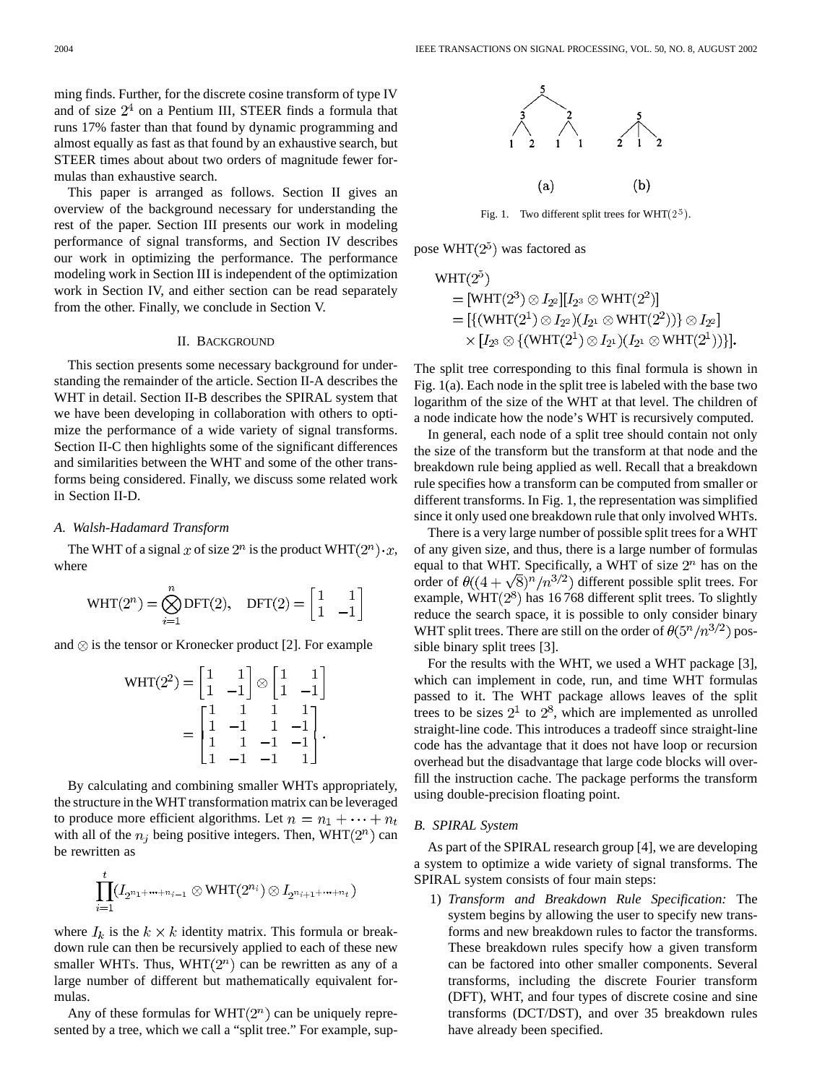ming finds. Further, for the discrete cosine transform of type IV and of size  $2<sup>4</sup>$  on a Pentium III, STEER finds a formula that runs 17% faster than that found by dynamic programming and almost equally as fast as that found by an exhaustive search, but STEER times about about two orders of magnitude fewer formulas than exhaustive search.

This paper is arranged as follows. Section II gives an overview of the background necessary for understanding the rest of the paper. Section III presents our work in modeling performance of signal transforms, and Section IV describes our work in optimizing the performance. The performance modeling work in Section III is independent of the optimization work in Section IV, and either section can be read separately from the other. Finally, we conclude in Section V.

## II. BACKGROUND

This section presents some necessary background for understanding the remainder of the article. Section II-A describes the WHT in detail. Section II-B describes the SPIRAL system that we have been developing in collaboration with others to optimize the performance of a wide variety of signal transforms. Section II-C then highlights some of the significant differences and similarities between the WHT and some of the other transforms being considered. Finally, we discuss some related work in Section II-D.

## *A. Walsh-Hadamard Transform*

The WHT of a signal x of size  $2^n$  is the product WHT  $(2^n) \cdot x$ , where

$$
\text{WHT}(2^n) = \bigotimes_{i=1}^n \text{DFT}(2), \quad \text{DFT}(2) = \begin{bmatrix} 1 & 1 \\ 1 & -1 \end{bmatrix}
$$

and  $\otimes$  is the tensor or Kronecker product [2]. For example

$$
\text{WHT}(2^2) = \begin{bmatrix} 1 & 1 \\ 1 & -1 \end{bmatrix} \otimes \begin{bmatrix} 1 & 1 \\ 1 & -1 \end{bmatrix}
$$

$$
= \begin{bmatrix} 1 & 1 & 1 & 1 \\ 1 & -1 & 1 & -1 \\ 1 & 1 & -1 & -1 \\ 1 & -1 & -1 & 1 \end{bmatrix}.
$$

By calculating and combining smaller WHTs appropriately, the structure in the WHT transformation matrix can be leveraged to produce more efficient algorithms. Let  $n = n_1 + \cdots + n_t$ with all of the  $n_j$  being positive integers. Then, WHT $(2^n)$  can be rewritten as

$$
\prod_{i=1}^{\mathfrak r}(I_{2^{n_1+\cdots+n_{i-1}}}\otimes \text{WHT}(2^{n_i})\otimes I_{2^{n_{i+1}+\cdots+n_t}})
$$

where  $I_k$  is the  $k \times k$  identity matrix. This formula or breakdown rule can then be recursively applied to each of these new smaller WHTs. Thus, WHT $(2^n)$  can be rewritten as any of a large number of different but mathematically equivalent formulas.

Any of these formulas for  $WHT(2^n)$  can be uniquely represented by a tree, which we call a "split tree." For example, sup-



Fig. 1. Two different split trees for  $WHT(2^5)$ .

pose WHT $(2^5)$  was factored as

$$
WHT(2^5)
$$
  
= [WHT(2<sup>3</sup>) ⊗ I<sub>2</sub>][I<sub>2<sup>3</sup></sub> ⊗ WHT(2<sup>2</sup>)]  
= [{(WHT(2<sup>1</sup>) ⊗ I<sub>2<sup>2</sup></sub>)(I<sub>2<sup>1</sup></sub> ⊗ WHT(2<sup>2</sup>))} ⊗ I<sub>2<sup>2</sup></sub>]  
× [I<sub>2<sup>3</sup></sub> ⊗ {(WHT(2<sup>1</sup>) ⊗ I<sub>2<sup>1</sup></sub>)(I<sub>2<sup>1</sup></sub> ⊗ WHT(2<sup>1</sup>))}].

The split tree corresponding to this final formula is shown in Fig. 1(a). Each node in the split tree is labeled with the base two logarithm of the size of the WHT at that level. The children of a node indicate how the node's WHT is recursively computed.

In general, each node of a split tree should contain not only the size of the transform but the transform at that node and the breakdown rule being applied as well. Recall that a breakdown rule specifies how a transform can be computed from smaller or different transforms. In Fig. 1, the representation was simplified since it only used one breakdown rule that only involved WHTs.

There is a very large number of possible split trees for a WHT of any given size, and thus, there is a large number of formulas equal to that WHT. Specifically, a WHT of size  $2^n$  has on the order of  $\theta((4+\sqrt{8})^n/n^{3/2})$  different possible split trees. For example, WHT $(2^8)$  has 16 768 different split trees. To slightly reduce the search space, it is possible to only consider binary WHT split trees. There are still on the order of  $\theta(5^n/n^{3/2})$  possible binary split trees [3].

For the results with the WHT, we used a WHT package [3], which can implement in code, run, and time WHT formulas passed to it. The WHT package allows leaves of the split trees to be sizes  $2<sup>1</sup>$  to  $2<sup>8</sup>$ , which are implemented as unrolled straight-line code. This introduces a tradeoff since straight-line code has the advantage that it does not have loop or recursion overhead but the disadvantage that large code blocks will overfill the instruction cache. The package performs the transform using double-precision floating point.

## *B. SPIRAL System*

As part of the SPIRAL research group [4], we are developing a system to optimize a wide variety of signal transforms. The SPIRAL system consists of four main steps:

1) *Transform and Breakdown Rule Specification:* The system begins by allowing the user to specify new transforms and new breakdown rules to factor the transforms. These breakdown rules specify how a given transform can be factored into other smaller components. Several transforms, including the discrete Fourier transform (DFT), WHT, and four types of discrete cosine and sine transforms (DCT/DST), and over 35 breakdown rules have already been specified.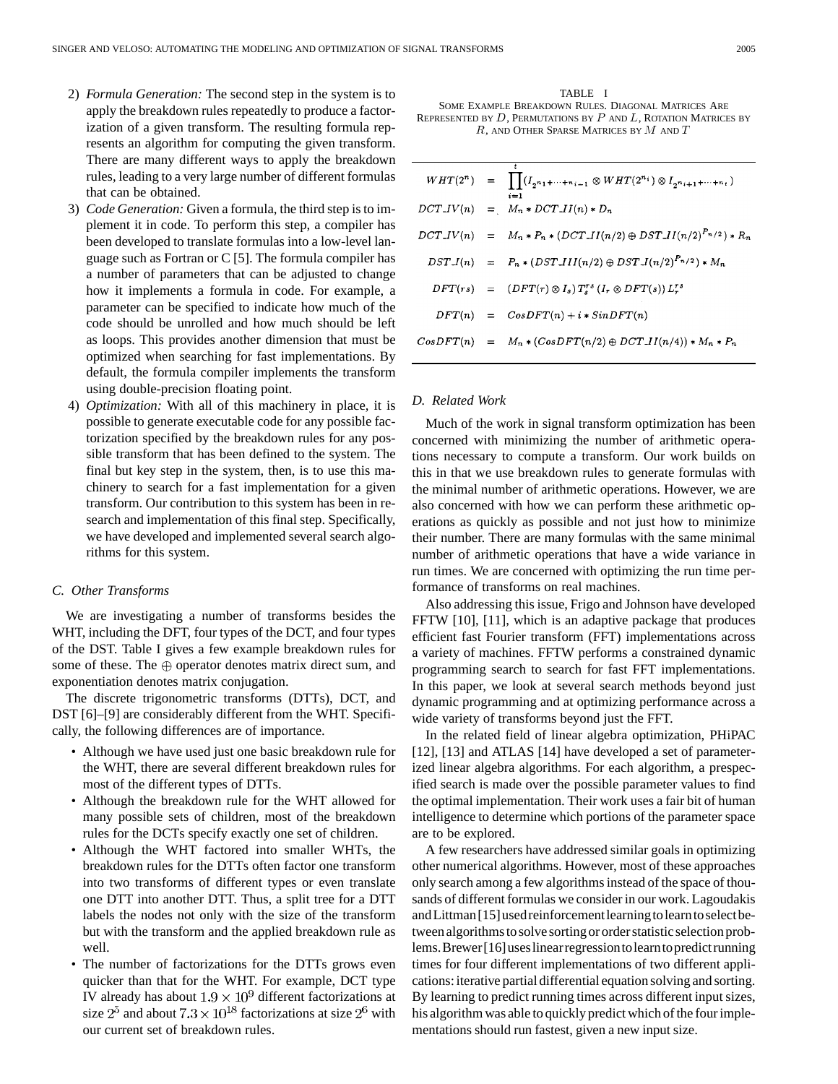- 2) *Formula Generation:* The second step in the system is to apply the breakdown rules repeatedly to produce a factorization of a given transform. The resulting formula represents an algorithm for computing the given transform. There are many different ways to apply the breakdown rules, leading to a very large number of different formulas that can be obtained.
- 3) *Code Generation:* Given a formula, the third step is to implement it in code. To perform this step, a compiler has been developed to translate formulas into a low-level language such as Fortran or C [5]. The formula compiler has a number of parameters that can be adjusted to change how it implements a formula in code. For example, a parameter can be specified to indicate how much of the code should be unrolled and how much should be left as loops. This provides another dimension that must be optimized when searching for fast implementations. By default, the formula compiler implements the transform using double-precision floating point.
- 4) *Optimization:* With all of this machinery in place, it is possible to generate executable code for any possible factorization specified by the breakdown rules for any possible transform that has been defined to the system. The final but key step in the system, then, is to use this machinery to search for a fast implementation for a given transform. Our contribution to this system has been in research and implementation of this final step. Specifically, we have developed and implemented several search algorithms for this system.

## *C. Other Transforms*

We are investigating a number of transforms besides the WHT, including the DFT, four types of the DCT, and four types of the DST. Table I gives a few example breakdown rules for some of these. The  $\oplus$  operator denotes matrix direct sum, and exponentiation denotes matrix conjugation.

The discrete trigonometric transforms (DTTs), DCT, and DST [6]–[9] are considerably different from the WHT. Specifically, the following differences are of importance.

- Although we have used just one basic breakdown rule for the WHT, there are several different breakdown rules for most of the different types of DTTs.
- Although the breakdown rule for the WHT allowed for many possible sets of children, most of the breakdown rules for the DCTs specify exactly one set of children.
- Although the WHT factored into smaller WHTs, the breakdown rules for the DTTs often factor one transform into two transforms of different types or even translate one DTT into another DTT. Thus, a split tree for a DTT labels the nodes not only with the size of the transform but with the transform and the applied breakdown rule as well.
- The number of factorizations for the DTTs grows even quicker than that for the WHT. For example, DCT type IV already has about  $1.9 \times 10^9$  different factorizations at size  $2^5$  and about  $7.3 \times 10^{18}$  factorizations at size  $2^6$  with our current set of breakdown rules.

TABLE I SOME EXAMPLE BREAKDOWN RULES. DIAGONAL MATRICES ARE REPRESENTED BY  $D$ , PERMUTATIONS BY  $P$  and  $L$ , ROTATION MATRICES BY  $R$ , and Other Sparse Matrices by  $M$  and  $T$ 

|  | $WHT(2^n) = \prod (I_{2^{n_1}+\cdots+n_{i-1}} \otimes WHT(2^{n_i}) \otimes I_{2^{n_{i+1}+\cdots+n_t}})$ |
|--|---------------------------------------------------------------------------------------------------------|
|  | $i=1$<br>$DCT.IV(n) = M_n * DCT.II(n) * D_n$                                                            |
|  | $DCT\_IV(n) = M_n * P_n * (DCT\_II(n/2) \oplus DST\_II(n/2)^{P_{n/2}}) * R_n$                           |
|  | $DSTJ(n) = P_n * (DSTJII(n/2) \oplus DSTJ(n/2)^{P_{n/2}}) * M_n$                                        |
|  | $DFT(rs) = (DFT(r) \otimes I_s) T_s^{rs} (I_r \otimes DFT(s)) L_r^{rs}$                                 |
|  | $DFT(n) = CosDFT(n) + i * SinDFT(n)$                                                                    |
|  | $CosDFT(n) = M_n * (CosDFT(n/2) \oplus DCT.II(n/4)) * M_n * P_n$                                        |

## *D. Related Work*

Much of the work in signal transform optimization has been concerned with minimizing the number of arithmetic operations necessary to compute a transform. Our work builds on this in that we use breakdown rules to generate formulas with the minimal number of arithmetic operations. However, we are also concerned with how we can perform these arithmetic operations as quickly as possible and not just how to minimize their number. There are many formulas with the same minimal number of arithmetic operations that have a wide variance in run times. We are concerned with optimizing the run time performance of transforms on real machines.

Also addressing this issue, Frigo and Johnson have developed FFTW [10], [11], which is an adaptive package that produces efficient fast Fourier transform (FFT) implementations across a variety of machines. FFTW performs a constrained dynamic programming search to search for fast FFT implementations. In this paper, we look at several search methods beyond just dynamic programming and at optimizing performance across a wide variety of transforms beyond just the FFT.

In the related field of linear algebra optimization, PHiPAC [12], [13] and ATLAS [14] have developed a set of parameterized linear algebra algorithms. For each algorithm, a prespecified search is made over the possible parameter values to find the optimal implementation. Their work uses a fair bit of human intelligence to determine which portions of the parameter space are to be explored.

A few researchers have addressed similar goals in optimizing other numerical algorithms. However, most of these approaches only search among a few algorithms instead of the space of thousands of different formulas we consider in our work. Lagoudakis and Littman [15] used reinforcement learning to learn to select between algorithms to solve sorting or order statistic selection problems.Brewer[16]useslinearregressiontolearntopredictrunning times for four different implementations of two different applications: iterative partial differential equation solving and sorting. By learning to predict running times across different input sizes, his algorithm was able to quickly predict which of the four implementations should run fastest, given a new input size.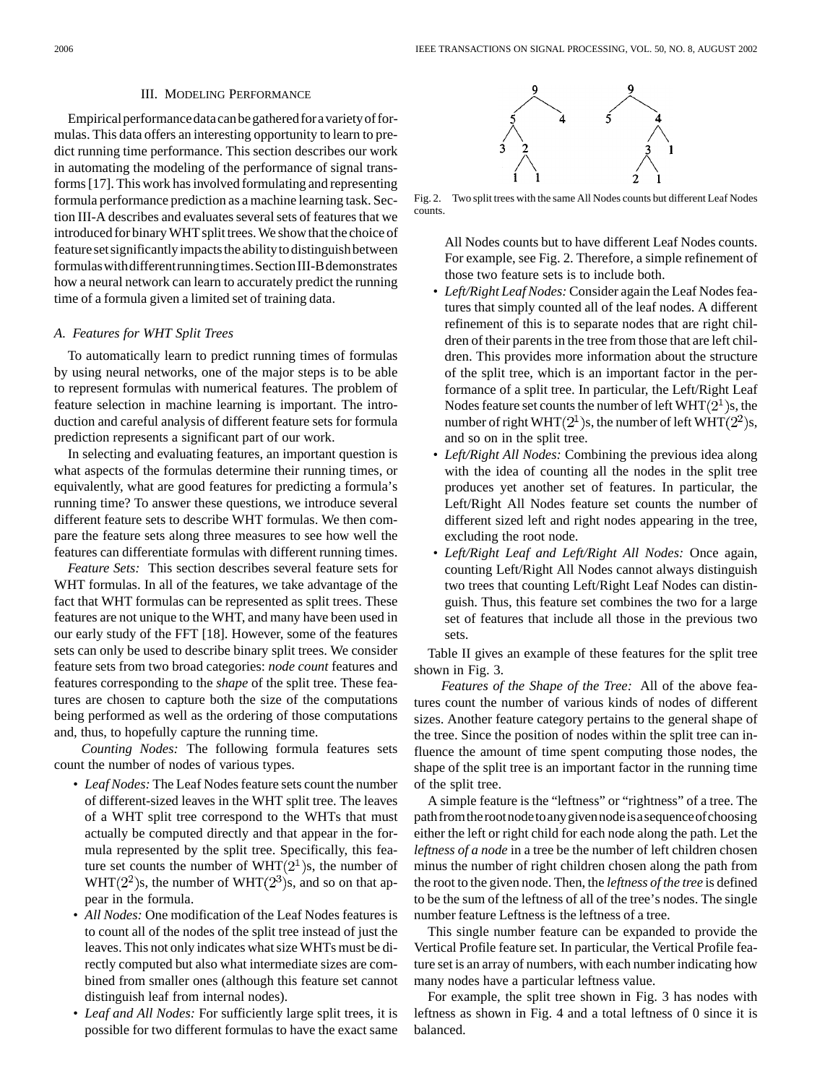## III. MODELING PERFORMANCE

Empirical performance data can be gathered for a variety of formulas. This data offers an interesting opportunity to learn to predict running time performance. This section describes our work in automating the modeling of the performance of signal transforms [17]. This work has involved formulating and representing formula performance prediction as a machine learning task. Section III-A describes and evaluates several sets of features that we introduced for binary WHT split trees. We show that the choice of feature set significantly impacts the ability to distinguish between formulas with different running times. Section III-B demonstrates how a neural network can learn to accurately predict the running time of a formula given a limited set of training data.

# *A. Features for WHT Split Trees*

To automatically learn to predict running times of formulas by using neural networks, one of the major steps is to be able to represent formulas with numerical features. The problem of feature selection in machine learning is important. The introduction and careful analysis of different feature sets for formula prediction represents a significant part of our work.

In selecting and evaluating features, an important question is what aspects of the formulas determine their running times, or equivalently, what are good features for predicting a formula's running time? To answer these questions, we introduce several different feature sets to describe WHT formulas. We then compare the feature sets along three measures to see how well the features can differentiate formulas with different running times.

*Feature Sets:* This section describes several feature sets for WHT formulas. In all of the features, we take advantage of the fact that WHT formulas can be represented as split trees. These features are not unique to the WHT, and many have been used in our early study of the FFT [18]. However, some of the features sets can only be used to describe binary split trees. We consider feature sets from two broad categories: *node count* features and features corresponding to the *shape* of the split tree. These features are chosen to capture both the size of the computations being performed as well as the ordering of those computations and, thus, to hopefully capture the running time.

*Counting Nodes:* The following formula features sets count the number of nodes of various types.

- *Leaf Nodes:* The Leaf Nodes feature sets count the number of different-sized leaves in the WHT split tree. The leaves of a WHT split tree correspond to the WHTs that must actually be computed directly and that appear in the formula represented by the split tree. Specifically, this feature set counts the number of WHT $(2<sup>1</sup>)$ s, the number of  $WHT(2^2)$ s, the number of  $WHT(2^3)$ s, and so on that appear in the formula.
- *All Nodes:* One modification of the Leaf Nodes features is to count all of the nodes of the split tree instead of just the leaves. This not only indicates what size WHTs must be directly computed but also what intermediate sizes are combined from smaller ones (although this feature set cannot distinguish leaf from internal nodes).
- *Leaf and All Nodes:* For sufficiently large split trees, it is possible for two different formulas to have the exact same



Fig. 2. Two split trees with the same All Nodes counts but different Leaf Nodes counts.

All Nodes counts but to have different Leaf Nodes counts. For example, see Fig. 2. Therefore, a simple refinement of those two feature sets is to include both.

- *Left/Right Leaf Nodes:* Consider again the Leaf Nodes features that simply counted all of the leaf nodes. A different refinement of this is to separate nodes that are right children of their parents in the tree from those that are left children. This provides more information about the structure of the split tree, which is an important factor in the performance of a split tree. In particular, the Left/Right Leaf Nodes feature set counts the number of left  $WHT(2^1)$ s, the number of right WHT $(2^1)$ s, the number of left WHT $(2^2)$ s, and so on in the split tree.
- *Left/Right All Nodes:* Combining the previous idea along with the idea of counting all the nodes in the split tree produces yet another set of features. In particular, the Left/Right All Nodes feature set counts the number of different sized left and right nodes appearing in the tree, excluding the root node.
- *Left/Right Leaf and Left/Right All Nodes:* Once again, counting Left/Right All Nodes cannot always distinguish two trees that counting Left/Right Leaf Nodes can distinguish. Thus, this feature set combines the two for a large set of features that include all those in the previous two sets.

Table II gives an example of these features for the split tree shown in Fig. 3.

*Features of the Shape of the Tree:* All of the above features count the number of various kinds of nodes of different sizes. Another feature category pertains to the general shape of the tree. Since the position of nodes within the split tree can influence the amount of time spent computing those nodes, the shape of the split tree is an important factor in the running time of the split tree.

A simple feature is the "leftness" or "rightness" of a tree. The pathfromtherootnodetoanygivennodeisasequenceofchoosing either the left or right child for each node along the path. Let the *leftness of a node* in a tree be the number of left children chosen minus the number of right children chosen along the path from the root to the given node. Then, the *leftness of the tree* is defined to be the sum of the leftness of all of the tree's nodes. The single number feature Leftness is the leftness of a tree.

This single number feature can be expanded to provide the Vertical Profile feature set. In particular, the Vertical Profile feature set is an array of numbers, with each number indicating how many nodes have a particular leftness value.

For example, the split tree shown in Fig. 3 has nodes with leftness as shown in Fig. 4 and a total leftness of 0 since it is balanced.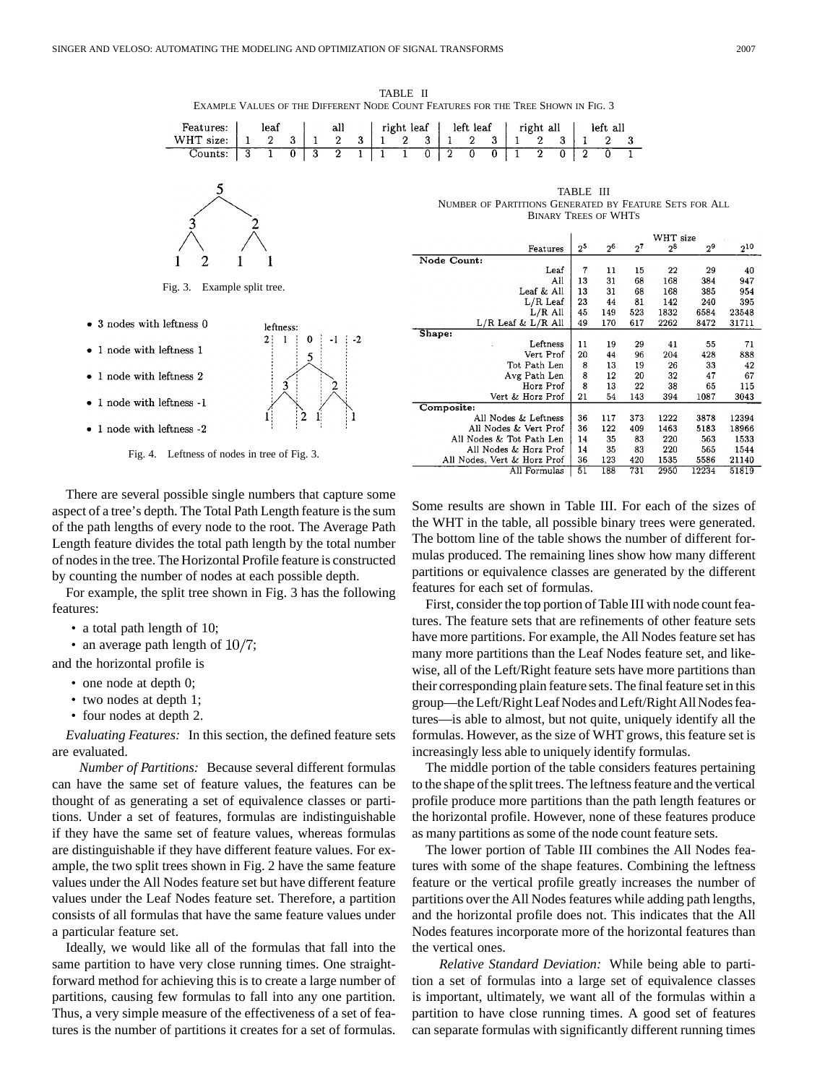leftness:

 $\mathbf{1}$ 

 $\theta$  $-1$  $\frac{1}{2}$  -2

TABLE II EXAMPLE VALUES OF THE DIFFERENT NODE COUNT FEATURES FOR THE TREE SHOWN IN FIG. 3





Fig. 3. Example split tree.

- $\bullet$  3 nodes with leftness 0
- 1 node with leftness 1
- $\bullet$  1 node with leftness 2
- 1 node with leftness -1
- 1 node with leftness -2

Fig. 4. Leftness of nodes in tree of Fig. 3.

| TABLE III                                              |  |
|--------------------------------------------------------|--|
| NUMBER OF PARTITIONS GENERATED BY FEATURE SETS FOR ALL |  |
| <b>BINARY TREES OF WHTS</b>                            |  |

|                             | WHT size       |       |       |         |       |          |
|-----------------------------|----------------|-------|-------|---------|-------|----------|
| Features                    | 2 <sup>5</sup> | $2^6$ | $2^7$ | $2^{8}$ | $2^9$ | $2^{10}$ |
| Node Count:                 |                |       |       |         |       |          |
| Leaf                        | 7              | 11    | 15    | 22      | 29    | 40       |
| All                         | 13             | 31    | 68    | 168     | 384   | 947      |
| Leaf & All                  | 13             | 31    | 68    | 168     | 385   | 954      |
| $L/R$ Leaf                  | 23             | 44    | 81    | 142     | 240   | 395      |
| $L/R$ All                   | 45             | 149   | 523   | 1832    | 6584  | 23548    |
| $L/R$ Leaf & $L/R$ All      | 49             | 170   | 617   | 2262    | 8472  | 31711    |
| Shape:                      |                |       |       |         |       |          |
| Leftness                    | 11             | 19    | 29    | 41      | 55    | 71       |
| Vert Prof                   | 20             | 44    | 96    | 204     | 428   | 888      |
| Tot Path Len                | 8              | 13    | 19    | 26      | 33    | 42       |
| Avg Path Len                | 8              | 12    | 20    | 32      | 47    | 67       |
| Horz Prof                   | 8              | 13    | 22    | 38      | 65    | 115      |
| Vert & Horz Prof            | 21             | 54    | 143   | 394     | 1087  | 3043     |
| Composite:                  |                |       |       |         |       |          |
| All Nodes & Leftness        | 36             | 117   | 373   | 1222    | 3878  | 12394    |
| All Nodes & Vert Prof       | 36             | 122   | 409   | 1463    | 5183  | 18966    |
| All Nodes & Tot Path Len    | 14             | 35    | 83    | 220     | 563   | 1533     |
| All Nodes & Horz Prof       | 14             | 35    | 83    | 220     | 565   | 1544     |
| All Nodes, Vert & Horz Prof | 36             | 123   | 420   | 1535    | 5586  | 21140    |
| All Formulas                | 51             | 188   | 731   | 2950    | 12234 | 51819    |

There are several possible single numbers that capture some aspect of a tree's depth. The Total Path Length feature is the sum of the path lengths of every node to the root. The Average Path Length feature divides the total path length by the total number of nodes in the tree. The Horizontal Profile feature is constructed by counting the number of nodes at each possible depth.

For example, the split tree shown in Fig. 3 has the following features:

- a total path length of 10;
- an average path length of  $10/7$ ;

and the horizontal profile is

- one node at depth 0;
- two nodes at depth 1;
- four nodes at depth 2.

*Evaluating Features:* In this section, the defined feature sets are evaluated.

*Number of Partitions:* Because several different formulas can have the same set of feature values, the features can be thought of as generating a set of equivalence classes or partitions. Under a set of features, formulas are indistinguishable if they have the same set of feature values, whereas formulas are distinguishable if they have different feature values. For example, the two split trees shown in Fig. 2 have the same feature values under the All Nodes feature set but have different feature values under the Leaf Nodes feature set. Therefore, a partition consists of all formulas that have the same feature values under a particular feature set.

Ideally, we would like all of the formulas that fall into the same partition to have very close running times. One straightforward method for achieving this is to create a large number of partitions, causing few formulas to fall into any one partition. Thus, a very simple measure of the effectiveness of a set of features is the number of partitions it creates for a set of formulas.

Some results are shown in Table III. For each of the sizes of the WHT in the table, all possible binary trees were generated. The bottom line of the table shows the number of different formulas produced. The remaining lines show how many different partitions or equivalence classes are generated by the different features for each set of formulas.

First, consider the top portion of Table III with node count features. The feature sets that are refinements of other feature sets have more partitions. For example, the All Nodes feature set has many more partitions than the Leaf Nodes feature set, and likewise, all of the Left/Right feature sets have more partitions than their corresponding plain feature sets. The final feature set in this group—the Left/Right Leaf Nodes and Left/Right All Nodes features—is able to almost, but not quite, uniquely identify all the formulas. However, as the size of WHT grows, this feature set is increasingly less able to uniquely identify formulas.

The middle portion of the table considers features pertaining to the shape of the split trees. The leftness feature and the vertical profile produce more partitions than the path length features or the horizontal profile. However, none of these features produce as many partitions as some of the node count feature sets.

The lower portion of Table III combines the All Nodes features with some of the shape features. Combining the leftness feature or the vertical profile greatly increases the number of partitions over the All Nodes features while adding path lengths, and the horizontal profile does not. This indicates that the All Nodes features incorporate more of the horizontal features than the vertical ones.

*Relative Standard Deviation:* While being able to partition a set of formulas into a large set of equivalence classes is important, ultimately, we want all of the formulas within a partition to have close running times. A good set of features can separate formulas with significantly different running times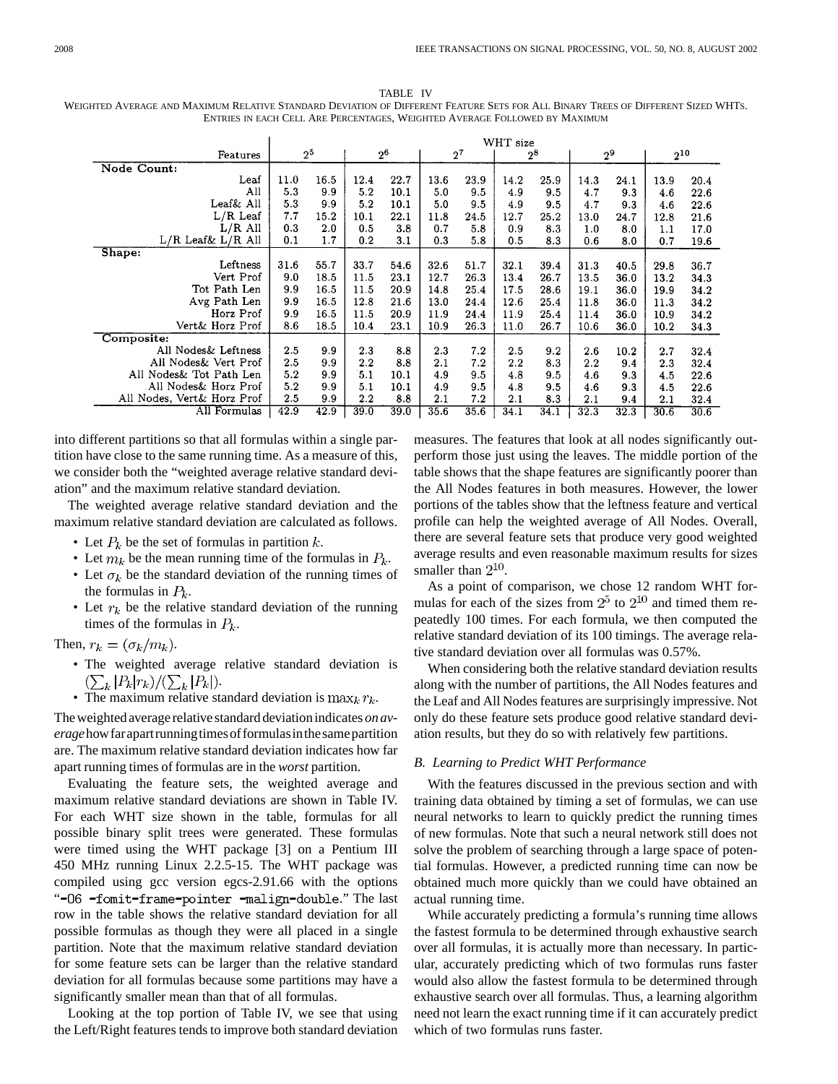TABLE IV WEIGHTED AVERAGE AND MAXIMUM RELATIVE STANDARD DEVIATION OF DIFFERENT FEATURE SETS FOR ALL BINARY TREES OF DIFFERENT SIZED WHTS. ENTRIES IN EACH CELL ARE PERCENTAGES, WEIGHTED AVERAGE FOLLOWED BY MAXIMUM

|                            | WHT size |      |       |      |             |      |         |      |                |      |          |      |
|----------------------------|----------|------|-------|------|-------------|------|---------|------|----------------|------|----------|------|
| Features                   | $2^5$    |      | $2^6$ |      | $2^{\rm 7}$ |      | $2^8$   |      | 2 <sup>9</sup> |      | $2^{10}$ |      |
| Node Count:                |          |      |       |      |             |      |         |      |                |      |          |      |
| Leaf                       | 11.0     | 16.5 | 12.4  | 22.7 | 13.6        | 23.9 | 14.2    | 25.9 | 14.3           | 24.1 | 13.9     | 20.4 |
| All                        | 5.3      | 9.9  | 5.2   | 10.1 | 5.0         | 9.5  | 4.9     | 9.5  | 4.7            | 9.3  | 4.6      | 22.6 |
| Leaf& All                  | 5.3      | 9.9  | 5.2   | 10.1 | 5.0         | 9.5  | 4.9     | 9.5  | 4.7            | 9.3  | 4.6      | 22.6 |
| $L/R$ Leaf                 | 7.7      | 15.2 | 10.1  | 22.1 | 11.8        | 24.5 | 12.7    | 25.2 | 13.0           | 24.7 | 12.8     | 21.6 |
| $L/R$ All                  | 0.3      | 2.0  | 0.5   | 3.8  | 0.7         | 5.8  | 0.9     | 8.3  | 1.0            | 8.0  | 1.1      | 17.0 |
| $L/R$ Leaf& $L/R$ All      | 0.1      | 1.7  | 0.2   | 3.1  | 0.3         | 5.8  | 0.5     | 8.3  | 0.6            | 8.0  | 0.7      | 19.6 |
| Shape:                     |          |      |       |      |             |      |         |      |                |      |          |      |
| Leftness                   | 31.6     | 55.7 | 33.7  | 54.6 | 32.6        | 51.7 | 32.1    | 39.4 | 31.3           | 40.5 | 29.8     | 36.7 |
| Vert Prof                  | 9.0      | 18.5 | 11.5  | 23.1 | 12.7        | 26.3 | 13.4    | 26.7 | 13.5           | 36.0 | 13.2     | 34.3 |
| Tot Path Len               | 9.9      | 16.5 | 11.5  | 20.9 | 14.8        | 25.4 | 17.5    | 28.6 | 19.1           | 36.0 | 19.9     | 34.2 |
| Avg Path Len               | 9.9      | 16.5 | 12.8  | 21.6 | 13.0        | 24.4 | 12.6    | 25.4 | 11.8           | 36.0 | 11.3     | 34.2 |
| Horz Prof                  | 9.9      | 16.5 | 11.5  | 20.9 | 11.9        | 24.4 | 11.9    | 25.4 | 11.4           | 36.0 | 10.9     | 34.2 |
| Vert& Horz Prof            | 8.6      | 18.5 | 10.4  | 23.1 | 10.9        | 26.3 | 11.0    | 26.7 | 10.6           | 36.0 | 10.2     | 34.3 |
| Composite:                 |          |      |       |      |             |      |         |      |                |      |          |      |
| All Nodes& Leftness        | 2.5      | 9.9  | 2.3   | 8.8  | 2.3         | 7.2  | 2.5     | 9.2  | 2.6            | 10.2 | 2.7      | 32.4 |
| All Nodes& Vert Prof       | 2.5      | 9.9  | 2.2   | 8.8  | 2.1         | 7.2  | $2.2\,$ | 8.3  | 2.2            | 9.4  | 2.3      | 32.4 |
| All Nodes& Tot Path Len    | 5.2      | 9.9  | 5.1   | 10.1 | 4.9         | 9.5  | 4.8     | 9.5  | 4.6            | 9.3  | 4.5      | 22.6 |
| All Nodes& Horz Prof       | 5.2      | 9.9  | 5.1   | 10.1 | 4.9         | 9.5  | 4.8     | 9.5  | 4.6            | 9.3  | 4.5      | 22.6 |
| All Nodes, Vert& Horz Prof | 2.5      | 9.9  | 2.2   | 8.8  | 2.1         | 7.2  | 2.1     | 8.3  | 2.1            | 9.4  | 2.1      | 32.4 |
| All Formulas               | 42.9     | 42.9 | 39.0  | 39.0 | 35.6        | 35.6 | 34.1    | 34.1 | 32.3           | 32.3 | 30.6     | 30.6 |

into different partitions so that all formulas within a single partition have close to the same running time. As a measure of this, we consider both the "weighted average relative standard deviation" and the maximum relative standard deviation.

The weighted average relative standard deviation and the maximum relative standard deviation are calculated as follows.

- Let  $P_k$  be the set of formulas in partition  $k$ .
- Let  $m_k$  be the mean running time of the formulas in  $P_k$ .
- Let  $\sigma_k$  be the standard deviation of the running times of the formulas in  $P_k$ .
- Let  $r_k$  be the relative standard deviation of the running times of the formulas in  $P_k$ .

Then,  $r_k = (\sigma_k/m_k)$ .

- The weighted average relative standard deviation is .
- The maximum relative standard deviation is  $\max_k r_k$ .

The weighted average relative standard deviation indicates *on average*howfarapartrunningtimesofformulasinthesamepartition are. The maximum relative standard deviation indicates how far apart running times of formulas are in the *worst* partition.

Evaluating the feature sets, the weighted average and maximum relative standard deviations are shown in Table IV. For each WHT size shown in the table, formulas for all possible binary split trees were generated. These formulas were timed using the WHT package [3] on a Pentium III 450 MHz running Linux 2.2.5-15. The WHT package was compiled using gcc version egcs-2.91.66 with the options "-06 -fomit-frame-pointer -malign-double." The last row in the table shows the relative standard deviation for all possible formulas as though they were all placed in a single partition. Note that the maximum relative standard deviation for some feature sets can be larger than the relative standard deviation for all formulas because some partitions may have a significantly smaller mean than that of all formulas.

Looking at the top portion of Table IV, we see that using the Left/Right features tends to improve both standard deviation measures. The features that look at all nodes significantly outperform those just using the leaves. The middle portion of the table shows that the shape features are significantly poorer than the All Nodes features in both measures. However, the lower portions of the tables show that the leftness feature and vertical profile can help the weighted average of All Nodes. Overall, there are several feature sets that produce very good weighted average results and even reasonable maximum results for sizes smaller than  $2^{10}$ .

As a point of comparison, we chose 12 random WHT formulas for each of the sizes from  $2^5$  to  $2^{10}$  and timed them repeatedly 100 times. For each formula, we then computed the relative standard deviation of its 100 timings. The average relative standard deviation over all formulas was 0.57%.

When considering both the relative standard deviation results along with the number of partitions, the All Nodes features and the Leaf and All Nodes features are surprisingly impressive. Not only do these feature sets produce good relative standard deviation results, but they do so with relatively few partitions.

# *B. Learning to Predict WHT Performance*

With the features discussed in the previous section and with training data obtained by timing a set of formulas, we can use neural networks to learn to quickly predict the running times of new formulas. Note that such a neural network still does not solve the problem of searching through a large space of potential formulas. However, a predicted running time can now be obtained much more quickly than we could have obtained an actual running time.

While accurately predicting a formula's running time allows the fastest formula to be determined through exhaustive search over all formulas, it is actually more than necessary. In particular, accurately predicting which of two formulas runs faster would also allow the fastest formula to be determined through exhaustive search over all formulas. Thus, a learning algorithm need not learn the exact running time if it can accurately predict which of two formulas runs faster.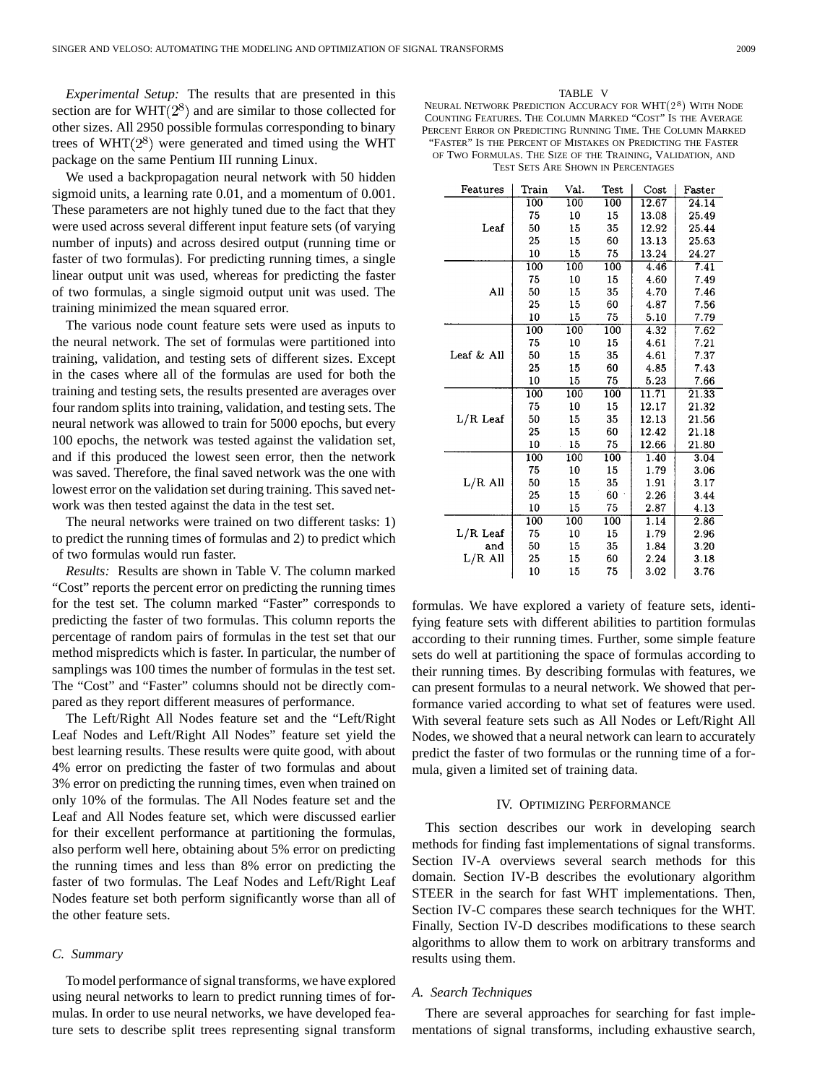*Experimental Setup:* The results that are presented in this section are for WHT $(2^8)$  and are similar to those collected for other sizes. All 2950 possible formulas corresponding to binary trees of WHT $(2^8)$  were generated and timed using the WHT package on the same Pentium III running Linux.

We used a backpropagation neural network with 50 hidden sigmoid units, a learning rate 0.01, and a momentum of 0.001. These parameters are not highly tuned due to the fact that they were used across several different input feature sets (of varying number of inputs) and across desired output (running time or faster of two formulas). For predicting running times, a single linear output unit was used, whereas for predicting the faster of two formulas, a single sigmoid output unit was used. The training minimized the mean squared error.

The various node count feature sets were used as inputs to the neural network. The set of formulas were partitioned into training, validation, and testing sets of different sizes. Except in the cases where all of the formulas are used for both the training and testing sets, the results presented are averages over four random splits into training, validation, and testing sets. The neural network was allowed to train for 5000 epochs, but every 100 epochs, the network was tested against the validation set, and if this produced the lowest seen error, then the network was saved. Therefore, the final saved network was the one with lowest error on the validation set during training. This saved network was then tested against the data in the test set.

The neural networks were trained on two different tasks: 1) to predict the running times of formulas and 2) to predict which of two formulas would run faster.

*Results:* Results are shown in Table V. The column marked "Cost" reports the percent error on predicting the running times for the test set. The column marked "Faster" corresponds to predicting the faster of two formulas. This column reports the percentage of random pairs of formulas in the test set that our method mispredicts which is faster. In particular, the number of samplings was 100 times the number of formulas in the test set. The "Cost" and "Faster" columns should not be directly compared as they report different measures of performance.

The Left/Right All Nodes feature set and the "Left/Right Leaf Nodes and Left/Right All Nodes" feature set yield the best learning results. These results were quite good, with about 4% error on predicting the faster of two formulas and about 3% error on predicting the running times, even when trained on only 10% of the formulas. The All Nodes feature set and the Leaf and All Nodes feature set, which were discussed earlier for their excellent performance at partitioning the formulas, also perform well here, obtaining about 5% error on predicting the running times and less than 8% error on predicting the faster of two formulas. The Leaf Nodes and Left/Right Leaf Nodes feature set both perform significantly worse than all of the other feature sets.

# *C. Summary*

To model performance of signal transforms, we have explored using neural networks to learn to predict running times of formulas. In order to use neural networks, we have developed feature sets to describe split trees representing signal transform

#### TABLE V

NEURAL NETWORK PREDICTION ACCURACY FOR WHT(2<sup>8</sup>) WITH NODE COUNTING FEATURES. THE COLUMN MARKED "COST" IS THE AVERAGE PERCENT ERROR ON PREDICTING RUNNING TIME. THE COLUMN MARKED "FASTER" IS THE PERCENT OF MISTAKES ON PREDICTING THE FASTER OF TWO FORMULAS. THE SIZE OF THE TRAINING, VALIDATION, AND

TEST SETS ARE SHOWN IN PERCENTAGES

|  | Features   | Train            | Val.             | $\operatorname{\sf Test}$ | Cost  | Faster |
|--|------------|------------------|------------------|---------------------------|-------|--------|
|  |            | $\overline{100}$ | $\overline{100}$ | $\overline{100}$          | 12.67 | 24.14  |
|  |            | 75               | 10               | 15                        | 13.08 | 25.49  |
|  | Leaf       | 50               | 15               | 35                        | 12.92 | 25.44  |
|  |            | 25               | 15               | 60                        | 13.13 | 25.63  |
|  |            | 10               | 15               | 75                        | 13.24 | 24.27  |
|  |            | 100              | 100              | 100                       | 4.46  | 7.41   |
|  |            | 75               | 10               | 15                        | 4.60  | 7.49   |
|  | All        | 50               | 15               | 35                        | 4.70  | 7.46   |
|  |            | 25               | 15               | 60                        | 4.87  | 7.56   |
|  |            | 10               | 15               | 75                        | 5.10  | 7.79   |
|  |            | 100              | $\overline{100}$ | $\overline{100}$          | 4.32  | 7.62   |
|  |            | 75               | 10               | 15                        | 4.61  | 7.21   |
|  | Leaf & All | 50               | 15               | 35                        | 4.61  | 7.37   |
|  |            | 25               | 15               | 60                        | 4.85  | 7.43   |
|  |            | 10               | 15               | 75                        | 5.23  | 7.66   |
|  |            | 100              | 100              | 100                       | 11.71 | 21.33  |
|  | $L/R$ Leaf | 75               | 10               | 15                        | 12.17 | 21.32  |
|  |            | 50               | 15               | 35                        | 12.13 | 21.56  |
|  |            | 25               | 15               | 60                        | 12.42 | 21.18  |
|  |            | 10               | 15               | 75                        | 12.66 | 21.80  |
|  |            | 100              | 100              | $\overline{100}$          | 1.40  | 3.04   |
|  | $L/R$ All  | 75               | 10               | 15                        | 1.79  | 3.06   |
|  |            | 50               | 15               | 35                        | 1.91  | 3.17   |
|  |            | 25               | 15               | 60                        | 2.26  | 3.44   |
|  |            | 10               | 15               | 75                        | 2.87  | 4.13   |
|  |            | 100              | 100              | 100                       | 1.14  | 2.86   |
|  | $L/R$ Leaf | 75               | 10               | 15                        | 1.79  | 2.96   |
|  | and        | 50               | 15               | 35                        | 1.84  | 3.20   |
|  | $L/R$ All  | 25               | 15               | 60                        | 2.24  | 3.18   |
|  |            | 10               | 15               | 75                        | 3.02  | 3.76   |

formulas. We have explored a variety of feature sets, identifying feature sets with different abilities to partition formulas according to their running times. Further, some simple feature sets do well at partitioning the space of formulas according to their running times. By describing formulas with features, we can present formulas to a neural network. We showed that performance varied according to what set of features were used. With several feature sets such as All Nodes or Left/Right All Nodes, we showed that a neural network can learn to accurately predict the faster of two formulas or the running time of a formula, given a limited set of training data.

## IV. OPTIMIZING PERFORMANCE

This section describes our work in developing search methods for finding fast implementations of signal transforms. Section IV-A overviews several search methods for this domain. Section IV-B describes the evolutionary algorithm STEER in the search for fast WHT implementations. Then, Section IV-C compares these search techniques for the WHT. Finally, Section IV-D describes modifications to these search algorithms to allow them to work on arbitrary transforms and results using them.

## *A. Search Techniques*

There are several approaches for searching for fast implementations of signal transforms, including exhaustive search,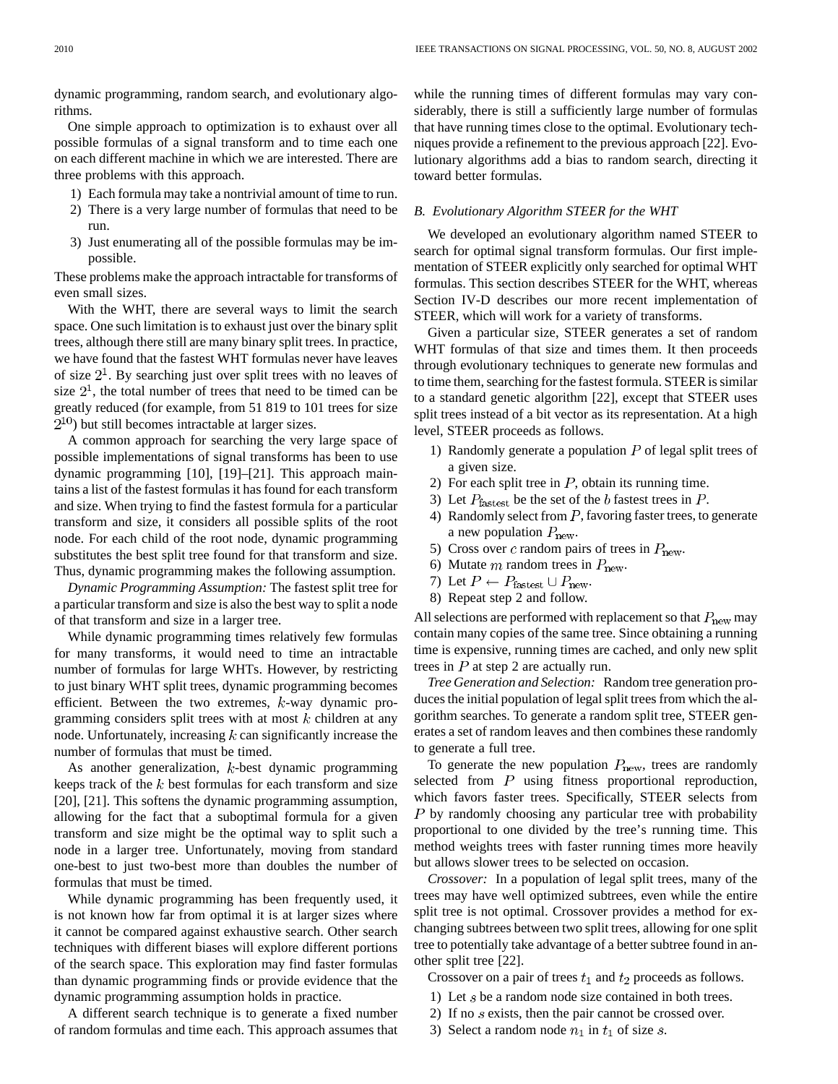dynamic programming, random search, and evolutionary algorithms.

One simple approach to optimization is to exhaust over all possible formulas of a signal transform and to time each one on each different machine in which we are interested. There are three problems with this approach.

- 1) Each formula may take a nontrivial amount of time to run.
- 2) There is a very large number of formulas that need to be run.
- 3) Just enumerating all of the possible formulas may be impossible.

These problems make the approach intractable for transforms of even small sizes.

With the WHT, there are several ways to limit the search space. One such limitation is to exhaust just over the binary split trees, although there still are many binary split trees. In practice, we have found that the fastest WHT formulas never have leaves of size  $2<sup>1</sup>$ . By searching just over split trees with no leaves of size  $2<sup>1</sup>$ , the total number of trees that need to be timed can be greatly reduced (for example, from 51 819 to 101 trees for size  $2^{10}$ ) but still becomes intractable at larger sizes.

A common approach for searching the very large space of possible implementations of signal transforms has been to use dynamic programming [10], [19]–[21]. This approach maintains a list of the fastest formulas it has found for each transform and size. When trying to find the fastest formula for a particular transform and size, it considers all possible splits of the root node. For each child of the root node, dynamic programming substitutes the best split tree found for that transform and size. Thus, dynamic programming makes the following assumption.

*Dynamic Programming Assumption:* The fastest split tree for a particular transform and size is also the best way to split a node of that transform and size in a larger tree.

While dynamic programming times relatively few formulas for many transforms, it would need to time an intractable number of formulas for large WHTs. However, by restricting to just binary WHT split trees, dynamic programming becomes efficient. Between the two extremes,  $k$ -way dynamic programming considers split trees with at most  $k$  children at any node. Unfortunately, increasing  $k$  can significantly increase the number of formulas that must be timed.

As another generalization,  $k$ -best dynamic programming keeps track of the  $k$  best formulas for each transform and size [20], [21]. This softens the dynamic programming assumption, allowing for the fact that a suboptimal formula for a given transform and size might be the optimal way to split such a node in a larger tree. Unfortunately, moving from standard one-best to just two-best more than doubles the number of formulas that must be timed.

While dynamic programming has been frequently used, it is not known how far from optimal it is at larger sizes where it cannot be compared against exhaustive search. Other search techniques with different biases will explore different portions of the search space. This exploration may find faster formulas than dynamic programming finds or provide evidence that the dynamic programming assumption holds in practice.

A different search technique is to generate a fixed number of random formulas and time each. This approach assumes that while the running times of different formulas may vary considerably, there is still a sufficiently large number of formulas that have running times close to the optimal. Evolutionary techniques provide a refinement to the previous approach [22]. Evolutionary algorithms add a bias to random search, directing it toward better formulas.

## *B. Evolutionary Algorithm STEER for the WHT*

We developed an evolutionary algorithm named STEER to search for optimal signal transform formulas. Our first implementation of STEER explicitly only searched for optimal WHT formulas. This section describes STEER for the WHT, whereas Section IV-D describes our more recent implementation of STEER, which will work for a variety of transforms.

Given a particular size, STEER generates a set of random WHT formulas of that size and times them. It then proceeds through evolutionary techniques to generate new formulas and to time them, searching for the fastest formula. STEER is similar to a standard genetic algorithm [22], except that STEER uses split trees instead of a bit vector as its representation. At a high level, STEER proceeds as follows.

- 1) Randomly generate a population  $P$  of legal split trees of a given size.
- 2) For each split tree in  $P$ , obtain its running time.
- 3) Let  $P_{\text{fastest}}$  be the set of the b fastest trees in P.
- 4) Randomly select from  $P$ , favoring faster trees, to generate a new population  $P_{\text{new}}$ .
- 5) Cross over  $c$  random pairs of trees in  $P_{\text{new}}$ .
- 6) Mutate *m* random trees in  $P_{\text{new}}$ .
- 7) Let  $P \leftarrow P_{\text{fastest}} \cup P_{\text{new}}$ .
- 8) Repeat step 2 and follow.

All selections are performed with replacement so that  $P_{\text{new}}$  may contain many copies of the same tree. Since obtaining a running time is expensive, running times are cached, and only new split trees in  $P$  at step 2 are actually run.

*Tree Generation and Selection:* Random tree generation produces the initial population of legal split trees from which the algorithm searches. To generate a random split tree, STEER generates a set of random leaves and then combines these randomly to generate a full tree.

To generate the new population  $P_{\text{new}}$ , trees are randomly selected from  $P$  using fitness proportional reproduction, which favors faster trees. Specifically, STEER selects from  $P$  by randomly choosing any particular tree with probability proportional to one divided by the tree's running time. This method weights trees with faster running times more heavily but allows slower trees to be selected on occasion.

*Crossover:* In a population of legal split trees, many of the trees may have well optimized subtrees, even while the entire split tree is not optimal. Crossover provides a method for exchanging subtrees between two split trees, allowing for one split tree to potentially take advantage of a better subtree found in another split tree [22].

Crossover on a pair of trees  $t_1$  and  $t_2$  proceeds as follows.

- 1) Let  $s$  be a random node size contained in both trees.
- 2) If no  $s$  exists, then the pair cannot be crossed over.
- 3) Select a random node  $n_1$  in  $t_1$  of size s.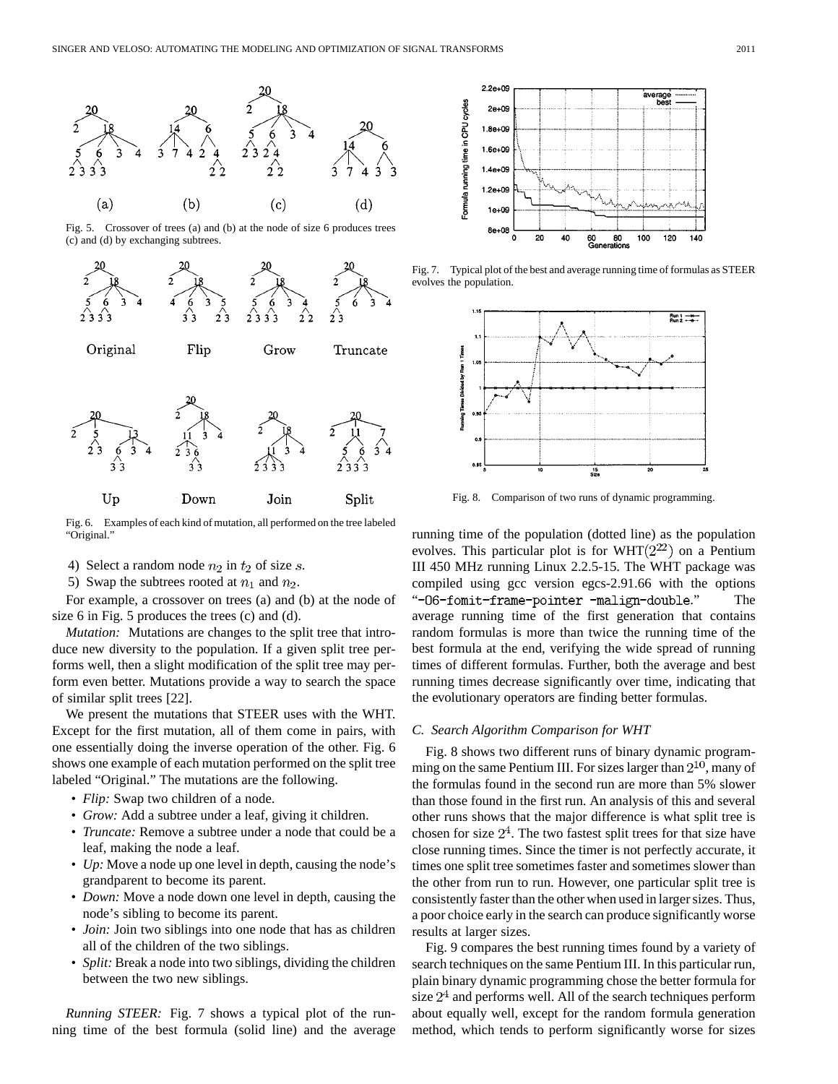

Fig. 5. Crossover of trees (a) and (b) at the node of size 6 produces trees (c) and (d) by exchanging subtrees.



Fig. 6. Examples of each kind of mutation, all performed on the tree labeled "Original."

4) Select a random node  $n_2$  in  $t_2$  of size s.

5) Swap the subtrees rooted at  $n_1$  and  $n_2$ .

For example, a crossover on trees (a) and (b) at the node of size 6 in Fig. 5 produces the trees (c) and (d).

*Mutation:* Mutations are changes to the split tree that introduce new diversity to the population. If a given split tree performs well, then a slight modification of the split tree may perform even better. Mutations provide a way to search the space of similar split trees [22].

We present the mutations that STEER uses with the WHT. Except for the first mutation, all of them come in pairs, with one essentially doing the inverse operation of the other. Fig. 6 shows one example of each mutation performed on the split tree labeled "Original." The mutations are the following.

- *Flip:* Swap two children of a node.
- *Grow:* Add a subtree under a leaf, giving it children.
- *Truncate:* Remove a subtree under a node that could be a leaf, making the node a leaf.
- *Up:* Move a node up one level in depth, causing the node's grandparent to become its parent.
- *Down:* Move a node down one level in depth, causing the node's sibling to become its parent.
- *Join:* Join two siblings into one node that has as children all of the children of the two siblings.
- *Split:* Break a node into two siblings, dividing the children between the two new siblings.

*Running STEER:* Fig. 7 shows a typical plot of the running time of the best formula (solid line) and the average



Fig. 7. Typical plot of the best and average running time of formulas as STEER evolves the population.



Fig. 8. Comparison of two runs of dynamic programming.

running time of the population (dotted line) as the population evolves. This particular plot is for WHT $(2^{22})$  on a Pentium III 450 MHz running Linux 2.2.5-15. The WHT package was compiled using gcc version egcs-2.91.66 with the options "-06-fomit-frame-pointer -malign-double." The average running time of the first generation that contains random formulas is more than twice the running time of the best formula at the end, verifying the wide spread of running times of different formulas. Further, both the average and best running times decrease significantly over time, indicating that the evolutionary operators are finding better formulas.

# *C. Search Algorithm Comparison for WHT*

Fig. 8 shows two different runs of binary dynamic programming on the same Pentium III. For sizes larger than  $2^{10}$ , many of the formulas found in the second run are more than 5% slower than those found in the first run. An analysis of this and several other runs shows that the major difference is what split tree is chosen for size  $2<sup>4</sup>$ . The two fastest split trees for that size have close running times. Since the timer is not perfectly accurate, it times one split tree sometimes faster and sometimes slower than the other from run to run. However, one particular split tree is consistently faster than the other when used in larger sizes. Thus, a poor choice early in the search can produce significantly worse results at larger sizes.

Fig. 9 compares the best running times found by a variety of search techniques on the same Pentium III. In this particular run, plain binary dynamic programming chose the better formula for size  $2<sup>4</sup>$  and performs well. All of the search techniques perform about equally well, except for the random formula generation method, which tends to perform significantly worse for sizes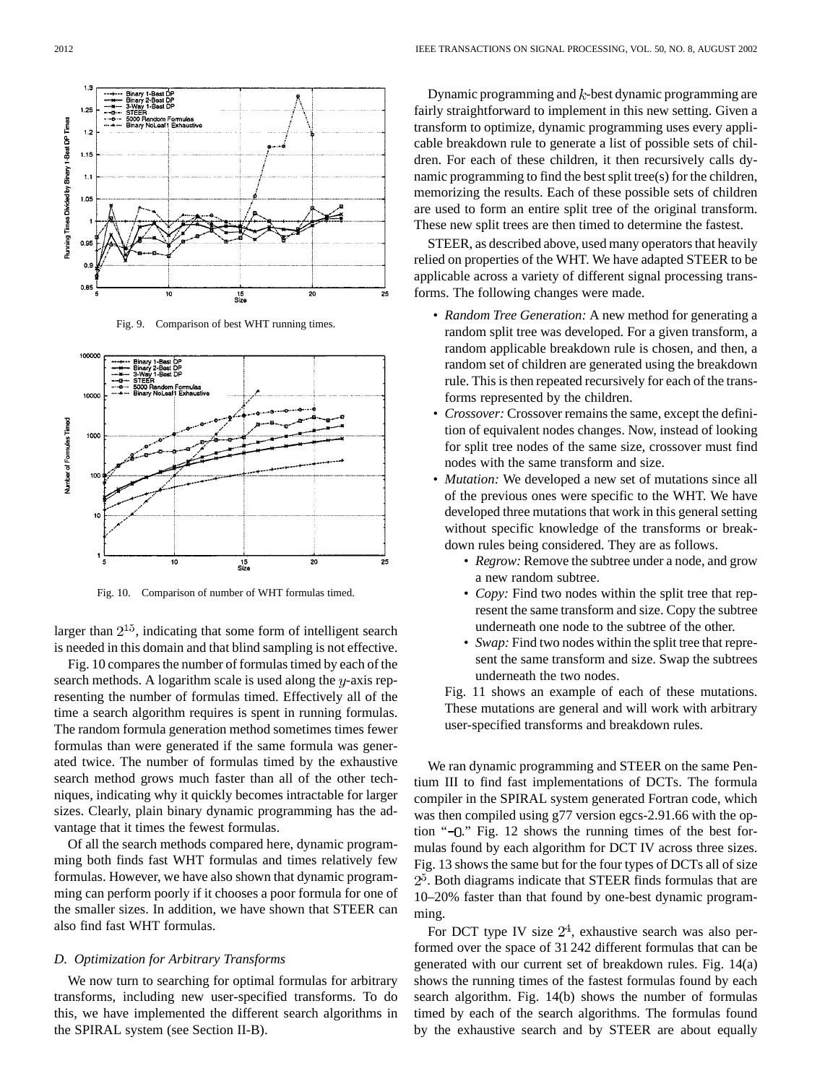

Fig. 9. Comparison of best WHT running times.



Fig. 10. Comparison of number of WHT formulas timed.

larger than  $2^{15}$ , indicating that some form of intelligent search is needed in this domain and that blind sampling is not effective.

Fig. 10 compares the number of formulas timed by each of the search methods. A logarithm scale is used along the  $y$ -axis representing the number of formulas timed. Effectively all of the time a search algorithm requires is spent in running formulas. The random formula generation method sometimes times fewer formulas than were generated if the same formula was generated twice. The number of formulas timed by the exhaustive search method grows much faster than all of the other techniques, indicating why it quickly becomes intractable for larger sizes. Clearly, plain binary dynamic programming has the advantage that it times the fewest formulas.

Of all the search methods compared here, dynamic programming both finds fast WHT formulas and times relatively few formulas. However, we have also shown that dynamic programming can perform poorly if it chooses a poor formula for one of the smaller sizes. In addition, we have shown that STEER can also find fast WHT formulas.

## *D. Optimization for Arbitrary Transforms*

We now turn to searching for optimal formulas for arbitrary transforms, including new user-specified transforms. To do this, we have implemented the different search algorithms in the SPIRAL system (see Section II-B).

Dynamic programming and  $k$ -best dynamic programming are fairly straightforward to implement in this new setting. Given a transform to optimize, dynamic programming uses every applicable breakdown rule to generate a list of possible sets of children. For each of these children, it then recursively calls dynamic programming to find the best split tree(s) for the children, memorizing the results. Each of these possible sets of children are used to form an entire split tree of the original transform. These new split trees are then timed to determine the fastest.

STEER, as described above, used many operators that heavily relied on properties of the WHT. We have adapted STEER to be applicable across a variety of different signal processing transforms. The following changes were made.

- *Random Tree Generation:* A new method for generating a random split tree was developed. For a given transform, a random applicable breakdown rule is chosen, and then, a random set of children are generated using the breakdown rule. This is then repeated recursively for each of the transforms represented by the children.
- *Crossover:* Crossover remains the same, except the definition of equivalent nodes changes. Now, instead of looking for split tree nodes of the same size, crossover must find nodes with the same transform and size.
- *Mutation:* We developed a new set of mutations since all of the previous ones were specific to the WHT. We have developed three mutations that work in this general setting without specific knowledge of the transforms or breakdown rules being considered. They are as follows.
	- *Regrow:* Remove the subtree under a node, and grow a new random subtree.
	- *Copy:* Find two nodes within the split tree that represent the same transform and size. Copy the subtree underneath one node to the subtree of the other.
	- *Swap:* Find two nodes within the split tree that represent the same transform and size. Swap the subtrees underneath the two nodes.

Fig. 11 shows an example of each of these mutations. These mutations are general and will work with arbitrary user-specified transforms and breakdown rules.

We ran dynamic programming and STEER on the same Pentium III to find fast implementations of DCTs. The formula compiler in the SPIRAL system generated Fortran code, which was then compiled using g77 version egcs-2.91.66 with the option " $-0$ ." Fig. 12 shows the running times of the best formulas found by each algorithm for DCT IV across three sizes. Fig. 13 shows the same but for the four types of DCTs all of size  $2<sup>5</sup>$ . Both diagrams indicate that STEER finds formulas that are 10–20% faster than that found by one-best dynamic programming.

For DCT type IV size  $2<sup>4</sup>$ , exhaustive search was also performed over the space of 31 242 different formulas that can be generated with our current set of breakdown rules. Fig. 14(a) shows the running times of the fastest formulas found by each search algorithm. Fig. 14(b) shows the number of formulas timed by each of the search algorithms. The formulas found by the exhaustive search and by STEER are about equally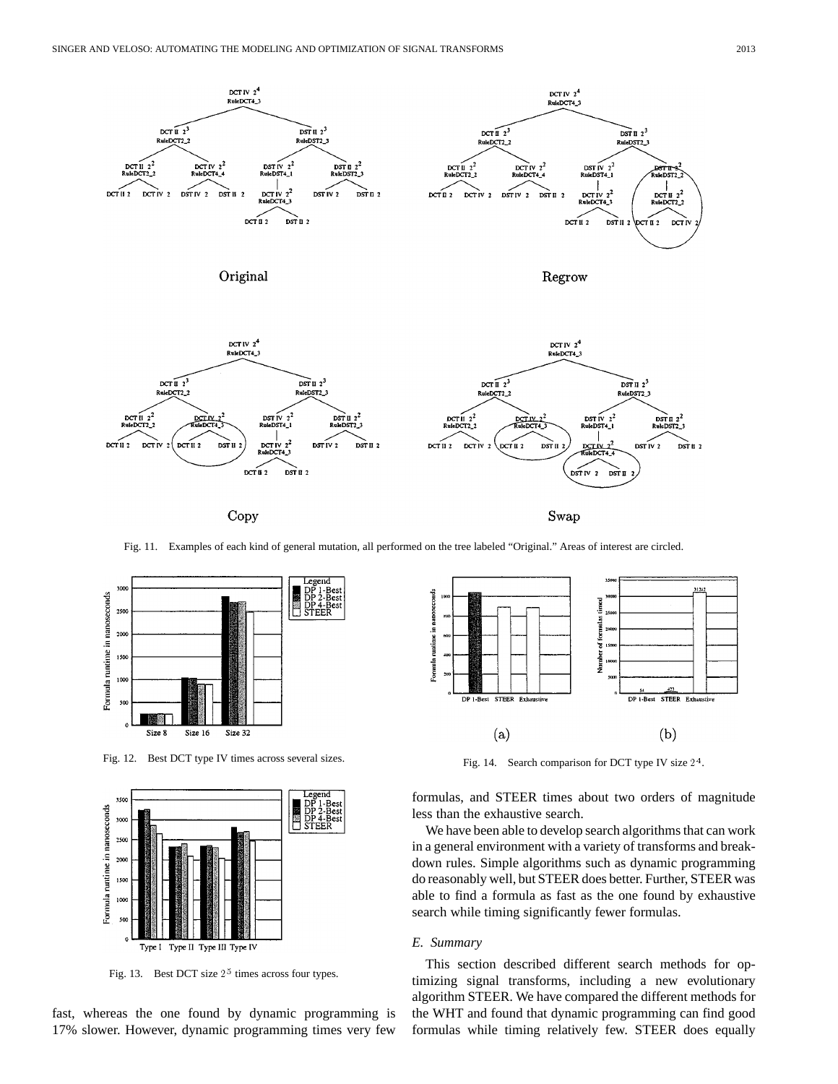



Copy

Swap

Fig. 11. Examples of each kind of general mutation, all performed on the tree labeled "Original." Areas of interest are circled.



Fig. 12. Best DCT type IV times across several sizes.



Fig. 13. Best DCT size  $2^5$  times across four types.

fast, whereas the one found by dynamic programming is 17% slower. However, dynamic programming times very few



Fig. 14. Search comparison for DCT type IV size  $2^4$ .

formulas, and STEER times about two orders of magnitude less than the exhaustive search.

We have been able to develop search algorithms that can work in a general environment with a variety of transforms and breakdown rules. Simple algorithms such as dynamic programming do reasonably well, but STEER does better. Further, STEER was able to find a formula as fast as the one found by exhaustive search while timing significantly fewer formulas.

## *E. Summary*

This section described different search methods for optimizing signal transforms, including a new evolutionary algorithm STEER. We have compared the different methods for the WHT and found that dynamic programming can find good formulas while timing relatively few. STEER does equally

DST II 2